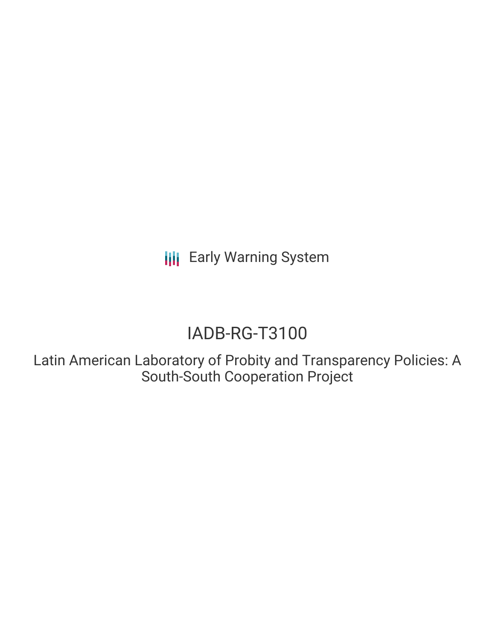**III** Early Warning System

# IADB-RG-T3100

Latin American Laboratory of Probity and Transparency Policies: A South-South Cooperation Project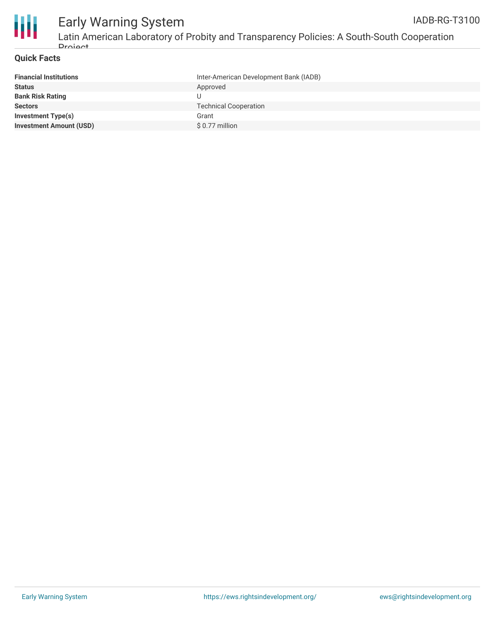

#### Early Warning System Latin American Laboratory of Probity and Transparency Policies: A South-South Cooperation IADB-RG-T3100

### **Quick Facts**

**Droject** 

| <b>Financial Institutions</b>  | Inter-American Development Bank (IADB) |
|--------------------------------|----------------------------------------|
| <b>Status</b>                  | Approved                               |
| <b>Bank Risk Rating</b>        |                                        |
| <b>Sectors</b>                 | <b>Technical Cooperation</b>           |
| Investment Type(s)             | Grant                                  |
| <b>Investment Amount (USD)</b> | \$ 0.77 million                        |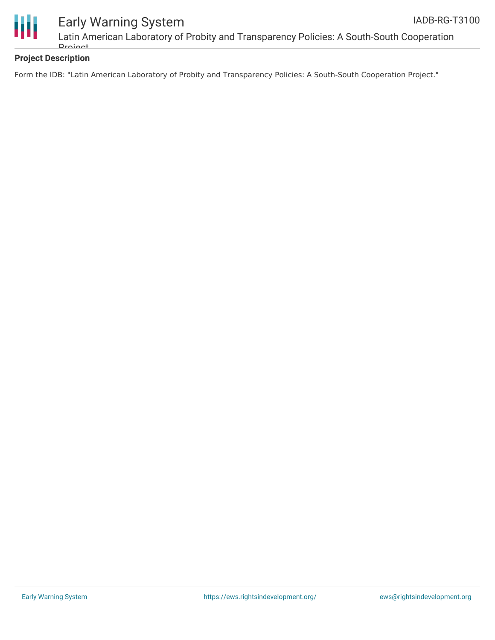

# Early Warning System

Latin American Laboratory of Probity and Transparency Policies: A South-South Cooperation **Droject** 

## **Project Description**

Form the IDB: "Latin American Laboratory of Probity and Transparency Policies: A South-South Cooperation Project."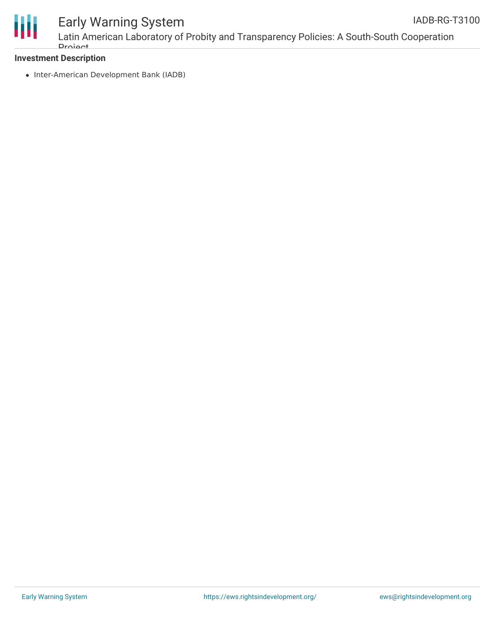

# Early Warning System

## **Investment Description**

• Inter-American Development Bank (IADB)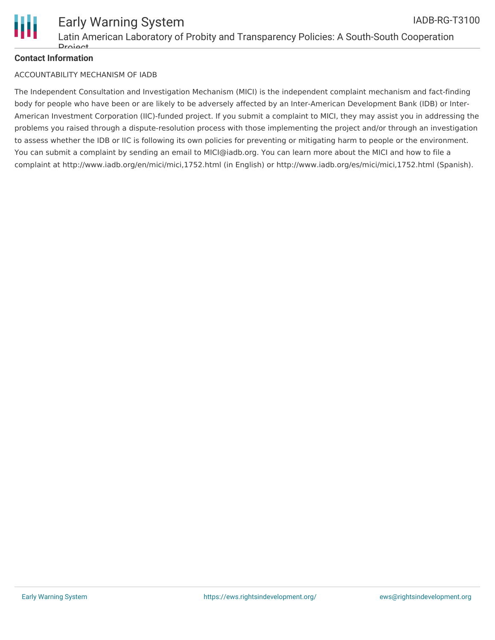

### **Contact Information**

#### ACCOUNTABILITY MECHANISM OF IADB

The Independent Consultation and Investigation Mechanism (MICI) is the independent complaint mechanism and fact-finding body for people who have been or are likely to be adversely affected by an Inter-American Development Bank (IDB) or Inter-American Investment Corporation (IIC)-funded project. If you submit a complaint to MICI, they may assist you in addressing the problems you raised through a dispute-resolution process with those implementing the project and/or through an investigation to assess whether the IDB or IIC is following its own policies for preventing or mitigating harm to people or the environment. You can submit a complaint by sending an email to MICI@iadb.org. You can learn more about the MICI and how to file a complaint at http://www.iadb.org/en/mici/mici,1752.html (in English) or http://www.iadb.org/es/mici/mici,1752.html (Spanish).